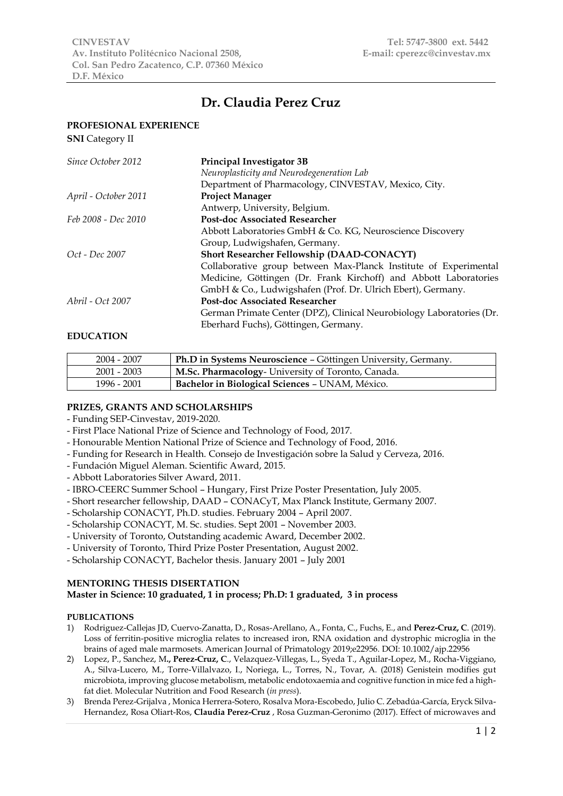# **Dr. Claudia Perez Cruz**

## **PROFESIONAL EXPERIENCE**

| <b>SNI</b> Category II |                                                                      |
|------------------------|----------------------------------------------------------------------|
| Since October 2012     | Principal Investigator 3B                                            |
|                        | Neuroplasticity and Neurodegeneration Lab                            |
|                        | Department of Pharmacology, CINVESTAV, Mexico, City.                 |
| April - October 2011   | <b>Project Manager</b>                                               |
|                        | Antwerp, University, Belgium.                                        |
| Feb 2008 - Dec 2010    | <b>Post-doc Associated Researcher</b>                                |
|                        | Abbott Laboratories GmbH & Co. KG, Neuroscience Discovery            |
|                        | Group, Ludwigshafen, Germany.                                        |
| <i>Oct - Dec</i> 2007  | <b>Short Researcher Fellowship (DAAD-CONACYT)</b>                    |
|                        | Collaborative group between Max-Planck Institute of Experimental     |
|                        | Medicine, Göttingen (Dr. Frank Kirchoff) and Abbott Laboratories     |
|                        | GmbH & Co., Ludwigshafen (Prof. Dr. Ulrich Ebert), Germany.          |
| Abril - Oct 2007       | <b>Post-doc Associated Researcher</b>                                |
|                        | German Primate Center (DPZ), Clinical Neurobiology Laboratories (Dr. |
|                        | Eberhard Fuchs), Göttingen, Germany.                                 |
| <b>EDUCATION</b>       |                                                                      |

## 2004 - 2007 **Ph.D in Systems Neuroscience** – Göttingen University, Germany. 2001 - 2003 **M.Sc. Pharmacology**- University of Toronto, Canada. 1996 - 2001 **Bachelor in Biological Sciences** – UNAM, México.

### **PRIZES, GRANTS AND SCHOLARSHIPS**

- Funding SEP-Cinvestav, 2019-2020.
- First Place National Prize of Science and Technology of Food, 2017.
- Honourable Mention National Prize of Science and Technology of Food, 2016.
- Funding for Research in Health. Consejo de Investigación sobre la Salud y Cerveza, 2016.
- Fundación Miguel Aleman. Scientific Award, 2015.
- Abbott Laboratories Silver Award, 2011.
- IBRO-CEERC Summer School Hungary, First Prize Poster Presentation, July 2005.
- Short researcher fellowship, DAAD CONACyT, Max Planck Institute, Germany 2007.
- Scholarship CONACYT, Ph.D. studies. February 2004 April 2007.
- Scholarship CONACYT, M. Sc. studies. Sept 2001 November 2003.
- University of Toronto, Outstanding academic Award, December 2002.
- University of Toronto, Third Prize Poster Presentation, August 2002.
- Scholarship CONACYT, Bachelor thesis. January 2001 July 2001

## **MENTORING THESIS DISERTATION**

## **Master in Science: 10 graduated, 1 in process; Ph.D: 1 graduated, 3 in process**

### **PUBLICATIONS**

- 1) Rodriguez-Callejas JD, Cuervo-Zanatta, D., Rosas-Arellano, A., Fonta, C., Fuchs, E., and **Perez-Cruz, C**. (2019). Loss of ferritin-positive microglia relates to increased iron, RNA oxidation and dystrophic microglia in the brains of aged male marmosets. American Journal of Primatology 2019;e22956. DOI: 10.1002/ajp.22956
- 2) Lopez, P., Sanchez, M**., Perez-Cruz, C**., Velazquez-Villegas, L., Syeda T., Aguilar-Lopez, M., Rocha-Viggiano, A., Silva-Lucero, M., Torre-Villalvazo, I., Noriega, L., Torres, N., Tovar, A. (2018) Genistein modifies gut microbiota, improving glucose metabolism, metabolic endotoxaemia and cognitive function in mice fed a highfat diet. Molecular Nutrition and Food Research (*in press*).
- 3) Brenda Perez-Grijalva , Monica Herrera-Sotero, Rosalva Mora-Escobedo, Julio C. Zebadúa-García, Eryck Silva-Hernandez, Rosa Oliart-Ros, **Claudia Perez-Cruz** , Rosa Guzman-Geronimo (2017). Effect of microwaves and